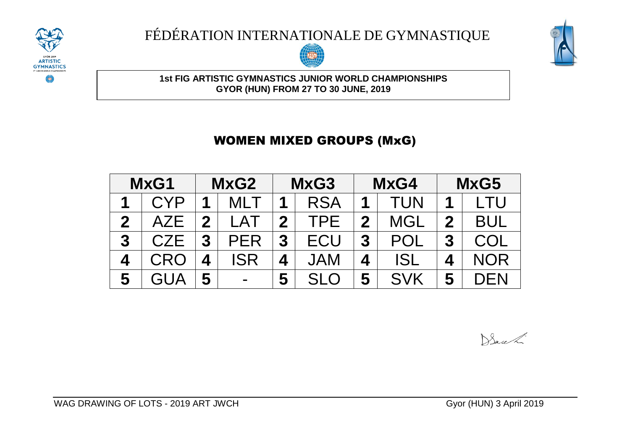

# FÉDÉRATION INTERNATIONALE DE GYMNASTIQUE





**1st FIG ARTISTIC GYMNASTICS JUNIOR WORLD CHAMPIONSHIPS GYOR (HUN) FROM 27 TO 30 JUNE, 2019**

## WOMEN MIXED GROUPS (MxG)

| MxG1         |     | MxG2 |                | MxG3 |            | MxG4        |            | MxG5             |            |
|--------------|-----|------|----------------|------|------------|-------------|------------|------------------|------------|
|              | CYP | 1    | ML .           | 1    | <b>RSA</b> | 1           | TUN        | 1                | LTU        |
| $\mathbf 2$  | AZE | 2    | I AT           | 2    | TPE        | $\mathbf 2$ | MGL        | $\mathbf 2$      | <b>BUL</b> |
| $\mathbf{3}$ | CZF | 3    | <b>PFR</b>     | 3    | ECU        | 3           | POL        | $\boldsymbol{3}$ | COL        |
|              |     | 4    | <b>ISR</b>     | 4    | <b>JAM</b> | 4           | ISL        | 4                | NOR        |
| 5            |     | 5    | $\blacksquare$ | 5    |            | 5           | <b>SVK</b> | 5                | 7FN        |

Back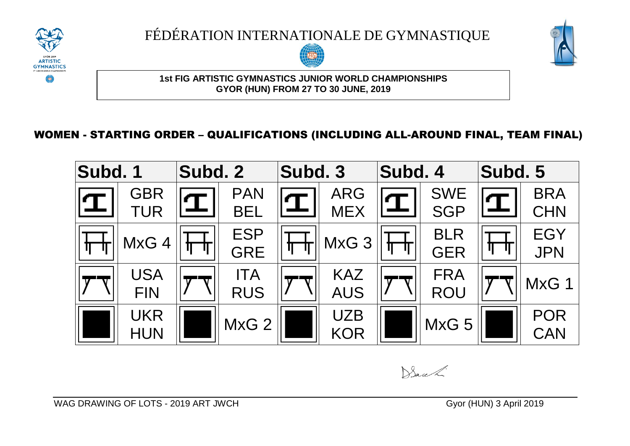

FÉDÉRATION INTERNATIONALE DE GYMNASTIQUE





**1st FIG ARTISTIC GYMNASTICS JUNIOR WORLD CHAMPIONSHIPS GYOR (HUN) FROM 27 TO 30 JUNE, 2019**

#### WOMEN - STARTING ORDER – QUALIFICATIONS (INCLUDING ALL-AROUND FINAL, TEAM FINAL)



Back